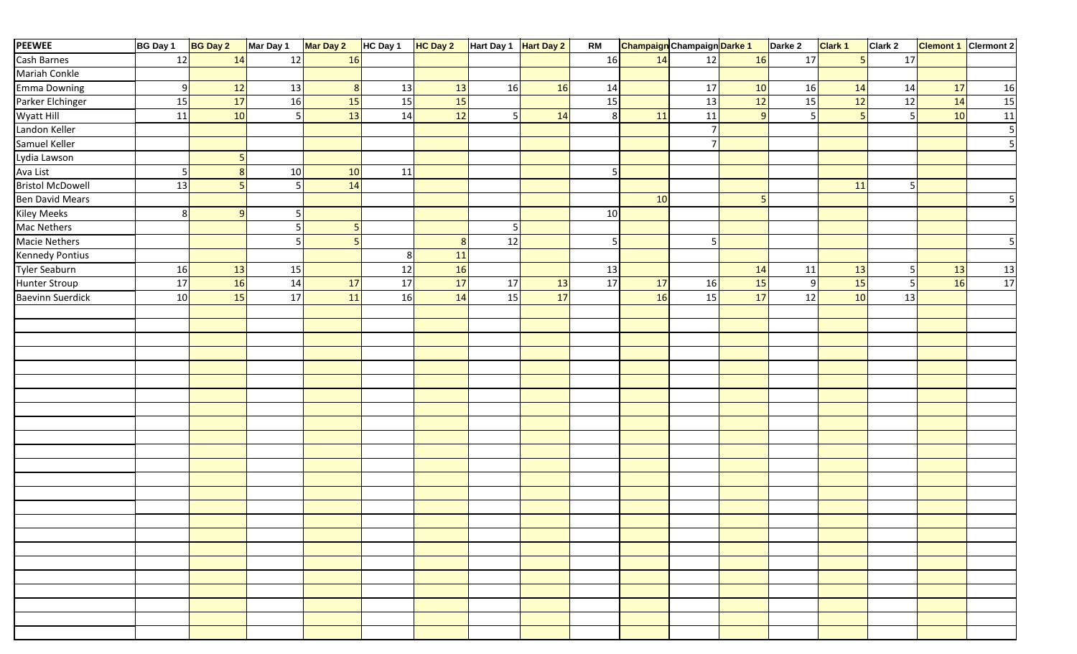| <b>PEEWEE</b>           | <b>BG Day 1</b> | <b>BG Day 2</b> | Mar Day 1 | Mar Day 2      | HC Day 1 | <b>HC Day 2</b> | Hart Day 1 Hart Day 2 |    | <b>RM</b> | <b>Champaign</b> Champaign Darke 1 |                  |              | Darke 2        | Clark 1 | Clark 2 | <b>Clemont 1</b> Clermont 2 |                 |
|-------------------------|-----------------|-----------------|-----------|----------------|----------|-----------------|-----------------------|----|-----------|------------------------------------|------------------|--------------|----------------|---------|---------|-----------------------------|-----------------|
| Cash Barnes             | 12              | 14              | 12        | 16             |          |                 |                       |    | 16        | 14                                 | 12               | 16           | 17             | 5       | 17      |                             |                 |
| Mariah Conkle           |                 |                 |           |                |          |                 |                       |    |           |                                    |                  |              |                |         |         |                             |                 |
| <b>Emma Downing</b>     | 9               | 12              | 13        | 8 <sup>2</sup> | 13       | 13              | 16                    | 16 | 14        |                                    | 17               | 10           | 16             | 14      | 14      | 17                          | 16              |
| Parker Elchinger        | 15              | 17              | 16        | 15             | 15       | <b>15</b>       |                       |    | 15        |                                    | 13               | 12           | 15             | 12      | 12      | 14                          | 15              |
| Wyatt Hill              | 11              | 10              | -5        | 13             | 14       | 12              |                       | 14 | 8         | 11                                 | 11               | $\mathbf{q}$ | 5 <sub>l</sub> | 5       |         | 10                          | 11              |
| Landon Keller           |                 |                 |           |                |          |                 |                       |    |           |                                    | $7 \overline{ }$ |              |                |         |         |                             | 5               |
| Samuel Keller           |                 |                 |           |                |          |                 |                       |    |           |                                    | 7 <sup>1</sup>   |              |                |         |         |                             |                 |
| Lydia Lawson            |                 |                 |           |                |          |                 |                       |    |           |                                    |                  |              |                |         |         |                             |                 |
| Ava List                | -5              | 8               | 10        | 10             | 11       |                 |                       |    | 5         |                                    |                  |              |                |         |         |                             |                 |
| <b>Bristol McDowell</b> | 13              |                 | -5        | 14             |          |                 |                       |    |           |                                    |                  |              |                | 11      |         |                             |                 |
| <b>Ben David Mears</b>  |                 |                 |           |                |          |                 |                       |    |           | 10                                 |                  | 5            |                |         |         |                             |                 |
| <b>Kiley Meeks</b>      | 8               | $\Omega$        |           |                |          |                 |                       |    | $10\,$    |                                    |                  |              |                |         |         |                             |                 |
| Mac Nethers             |                 |                 | -5        | 5              |          |                 | 5                     |    |           |                                    |                  |              |                |         |         |                             |                 |
| <b>Macie Nethers</b>    |                 |                 | 5         | 5 <sub>l</sub> |          | 8               | 12                    |    | 5         |                                    | 5                |              |                |         |         |                             |                 |
| <b>Kennedy Pontius</b>  |                 |                 |           |                | 8        | $11\,$          |                       |    |           |                                    |                  |              |                |         |         |                             |                 |
| <b>Tyler Seaburn</b>    | 16              | 13              | 15        |                | 12       | <b>16</b>       |                       |    | 13        |                                    |                  | 14           | 11             | 13      |         | 13                          | $\frac{13}{17}$ |
| Hunter Stroup           | 17              | 16              | 14        | 17             | 17       | 17              | 17                    | 13 | 17        | 17                                 | 16               | 15           | 9              | 15      |         | <b>16</b>                   |                 |
| <b>Baevinn Suerdick</b> | 10              | 15              | 17        | 11             | 16       | 14              | 15                    | 17 |           | 16                                 | 15               | 17           | 12             | 10      | 13      |                             |                 |
|                         |                 |                 |           |                |          |                 |                       |    |           |                                    |                  |              |                |         |         |                             |                 |
|                         |                 |                 |           |                |          |                 |                       |    |           |                                    |                  |              |                |         |         |                             |                 |
|                         |                 |                 |           |                |          |                 |                       |    |           |                                    |                  |              |                |         |         |                             |                 |
|                         |                 |                 |           |                |          |                 |                       |    |           |                                    |                  |              |                |         |         |                             |                 |
|                         |                 |                 |           |                |          |                 |                       |    |           |                                    |                  |              |                |         |         |                             |                 |
|                         |                 |                 |           |                |          |                 |                       |    |           |                                    |                  |              |                |         |         |                             |                 |
|                         |                 |                 |           |                |          |                 |                       |    |           |                                    |                  |              |                |         |         |                             |                 |
|                         |                 |                 |           |                |          |                 |                       |    |           |                                    |                  |              |                |         |         |                             |                 |
|                         |                 |                 |           |                |          |                 |                       |    |           |                                    |                  |              |                |         |         |                             |                 |
|                         |                 |                 |           |                |          |                 |                       |    |           |                                    |                  |              |                |         |         |                             |                 |
|                         |                 |                 |           |                |          |                 |                       |    |           |                                    |                  |              |                |         |         |                             |                 |
|                         |                 |                 |           |                |          |                 |                       |    |           |                                    |                  |              |                |         |         |                             |                 |
|                         |                 |                 |           |                |          |                 |                       |    |           |                                    |                  |              |                |         |         |                             |                 |
|                         |                 |                 |           |                |          |                 |                       |    |           |                                    |                  |              |                |         |         |                             |                 |
|                         |                 |                 |           |                |          |                 |                       |    |           |                                    |                  |              |                |         |         |                             |                 |
|                         |                 |                 |           |                |          |                 |                       |    |           |                                    |                  |              |                |         |         |                             |                 |
|                         |                 |                 |           |                |          |                 |                       |    |           |                                    |                  |              |                |         |         |                             |                 |
|                         |                 |                 |           |                |          |                 |                       |    |           |                                    |                  |              |                |         |         |                             |                 |
|                         |                 |                 |           |                |          |                 |                       |    |           |                                    |                  |              |                |         |         |                             |                 |
|                         |                 |                 |           |                |          |                 |                       |    |           |                                    |                  |              |                |         |         |                             |                 |
|                         |                 |                 |           |                |          |                 |                       |    |           |                                    |                  |              |                |         |         |                             |                 |
|                         |                 |                 |           |                |          |                 |                       |    |           |                                    |                  |              |                |         |         |                             |                 |
|                         |                 |                 |           |                |          |                 |                       |    |           |                                    |                  |              |                |         |         |                             |                 |
|                         |                 |                 |           |                |          |                 |                       |    |           |                                    |                  |              |                |         |         |                             |                 |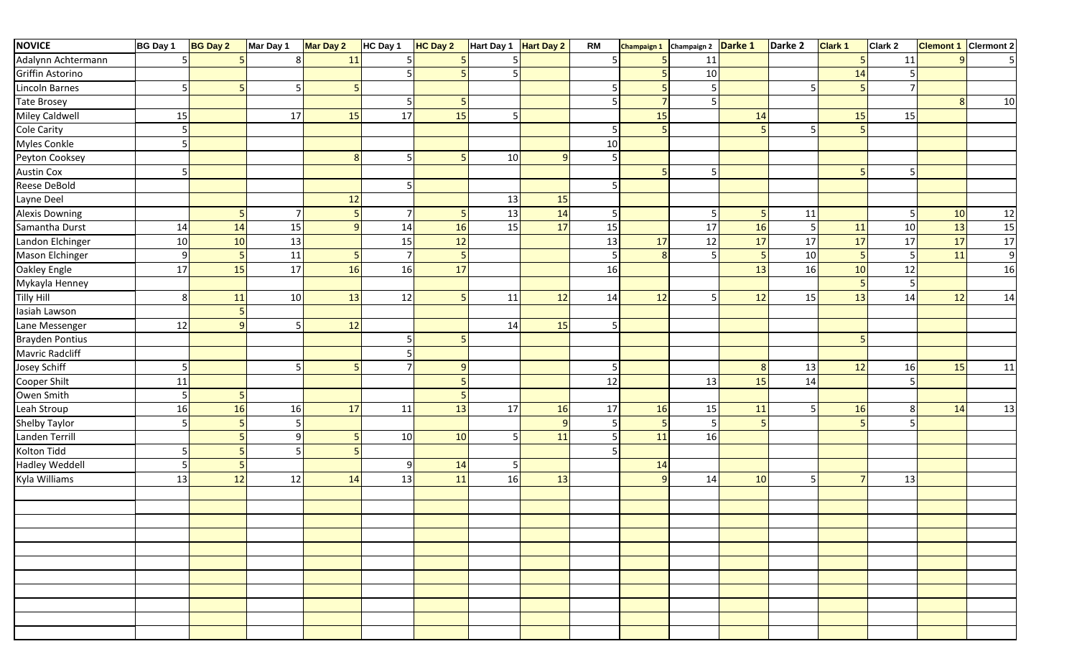| <b>NOVICE</b>          | BG Day 1       | <b>BG Day 2</b> | Mar Day 1 | Mar Day 2 | HC Day 1        | <b>HC Day 2</b> | Hart Day 1 | <b>Hart Day 2</b> | <b>RM</b> | <b>Champaign 1</b> | Champaign 2 | Darke 1 | Darke 2 | <b>Clark 1</b> | Clark 2 | <b>Clemont 1</b> | Clermont 2 |
|------------------------|----------------|-----------------|-----------|-----------|-----------------|-----------------|------------|-------------------|-----------|--------------------|-------------|---------|---------|----------------|---------|------------------|------------|
| Adalynn Achtermann     |                |                 |           | 11        |                 |                 |            |                   |           |                    | 11          |         |         |                | 11      | q                |            |
| Griffin Astorino       |                |                 |           |           |                 |                 | 5          |                   |           |                    | 10          |         |         | 14             |         |                  |            |
| Lincoln Barnes         | 5              |                 |           |           |                 |                 |            |                   |           |                    | 5           |         |         |                |         |                  |            |
| <b>Tate Brosey</b>     |                |                 |           |           |                 |                 |            |                   |           | $\overline{7}$     | 5           |         |         |                |         | 8 <sup>l</sup>   | 10         |
| Miley Caldwell         | 15             |                 | 17        | 15        | 17              | 15              | 5          |                   |           | 15                 |             | 14      |         | 15             | 15      |                  |            |
| <b>Cole Carity</b>     | $\mathsf S$    |                 |           |           |                 |                 |            |                   | .5        |                    |             | 5       |         |                |         |                  |            |
| Myles Conkle           | 5              |                 |           |           |                 |                 |            |                   | $10\,$    |                    |             |         |         |                |         |                  |            |
| Peyton Cooksey         |                |                 |           | 8         | 5               |                 | 10         | 9                 | 5         |                    |             |         |         |                |         |                  |            |
| <b>Austin Cox</b>      | 5              |                 |           |           |                 |                 |            |                   |           | $\overline{a}$     | 5           |         |         | 5              |         |                  |            |
| Reese DeBold           |                |                 |           |           |                 |                 |            |                   |           |                    |             |         |         |                |         |                  |            |
| Layne Deel             |                |                 |           | 12        |                 |                 | 13         | 15                |           |                    |             |         |         |                |         |                  |            |
| <b>Alexis Downing</b>  |                |                 | 7         | 5         | $\overline{7}$  |                 | 13         | 14                | 5         |                    | 5           | -5      | 11      |                |         | 10               | 12         |
| Samantha Durst         | 14             | 14              | 15        | $\alpha$  | 14              | 16              | 15         | 17                | 15        |                    | 17          | 16      | 5       | 11             | 10      | 13               | 15         |
| Landon Elchinger       | 10             | 10              | 13        |           | 15              | 12              |            |                   | 13        | 17                 | 12          | 17      | 17      | 17             | 17      | 17               | 17         |
| Mason Elchinger        | $9\,$          |                 | 11        |           | $7 \frac{1}{2}$ |                 |            |                   | 5         | 8 <sup>l</sup>     | 5           | -5      | 10      |                |         | 11               | 9          |
| Oakley Engle           | 17             | 15              | 17        | 16        | 16              | 17              |            |                   | 16        |                    |             | 13      | 16      | 10             | 12      |                  | 16         |
| Mykayla Henney         |                |                 |           |           |                 |                 |            |                   |           |                    |             |         |         |                |         |                  |            |
| <b>Tilly Hill</b>      | 8 <sup>°</sup> | 11              | 10        | 13        | 12              |                 | 11         | 12                | 14        | 12                 | 5           | 12      | 15      | 13             | 14      | 12               | 14         |
| Iasiah Lawson          |                |                 |           |           |                 |                 |            |                   |           |                    |             |         |         |                |         |                  |            |
| Lane Messenger         | 12             |                 |           | $12\,$    |                 |                 | 14         | 15                | 5         |                    |             |         |         |                |         |                  |            |
| <b>Brayden Pontius</b> |                |                 |           |           |                 |                 |            |                   |           |                    |             |         |         |                |         |                  |            |
| Mavric Radcliff        |                |                 |           |           |                 |                 |            |                   |           |                    |             |         |         |                |         |                  |            |
| Josey Schiff           | $\overline{5}$ |                 | 5         | 5         |                 |                 |            |                   | 5         |                    |             | 8       | 13      | 12             | 16      | 15               | 11         |
| Cooper Shilt           | 11             |                 |           |           |                 |                 |            |                   | 12        |                    | 13          | 15      | 14      |                |         |                  |            |
| Owen Smith             | $\overline{5}$ |                 |           |           |                 |                 |            |                   |           |                    |             |         |         |                |         |                  |            |
| Leah Stroup            | 16             | 16              | 16        | 17        | 11              | 13              | 17         | 16                | 17        | 16                 | 15          | 11      | 5       | 16             | 8       | 14               | 13         |
| Shelby Taylor          | 5              |                 |           |           |                 |                 |            | q                 | 5         | 5                  | 5           | -5      |         |                |         |                  |            |
| Landen Terrill         |                |                 | q         |           | 10              | 10              | 5          | 11                | 5         | 11                 | 16          |         |         |                |         |                  |            |
| Kolton Tidd            | 5              |                 |           |           |                 |                 |            |                   |           |                    |             |         |         |                |         |                  |            |
| <b>Hadley Weddell</b>  | 5              |                 |           |           | 9               | 14              | 5          |                   |           | 14                 |             |         |         |                |         |                  |            |
| Kyla Williams          | 13             | 12              | 12        | 14        | 13              | 11              | 16         | 13                |           | 9                  | 14          | 10      | 5       |                | 13      |                  |            |
|                        |                |                 |           |           |                 |                 |            |                   |           |                    |             |         |         |                |         |                  |            |
|                        |                |                 |           |           |                 |                 |            |                   |           |                    |             |         |         |                |         |                  |            |
|                        |                |                 |           |           |                 |                 |            |                   |           |                    |             |         |         |                |         |                  |            |
|                        |                |                 |           |           |                 |                 |            |                   |           |                    |             |         |         |                |         |                  |            |
|                        |                |                 |           |           |                 |                 |            |                   |           |                    |             |         |         |                |         |                  |            |
|                        |                |                 |           |           |                 |                 |            |                   |           |                    |             |         |         |                |         |                  |            |
|                        |                |                 |           |           |                 |                 |            |                   |           |                    |             |         |         |                |         |                  |            |
|                        |                |                 |           |           |                 |                 |            |                   |           |                    |             |         |         |                |         |                  |            |
|                        |                |                 |           |           |                 |                 |            |                   |           |                    |             |         |         |                |         |                  |            |
|                        |                |                 |           |           |                 |                 |            |                   |           |                    |             |         |         |                |         |                  |            |
|                        |                |                 |           |           |                 |                 |            |                   |           |                    |             |         |         |                |         |                  |            |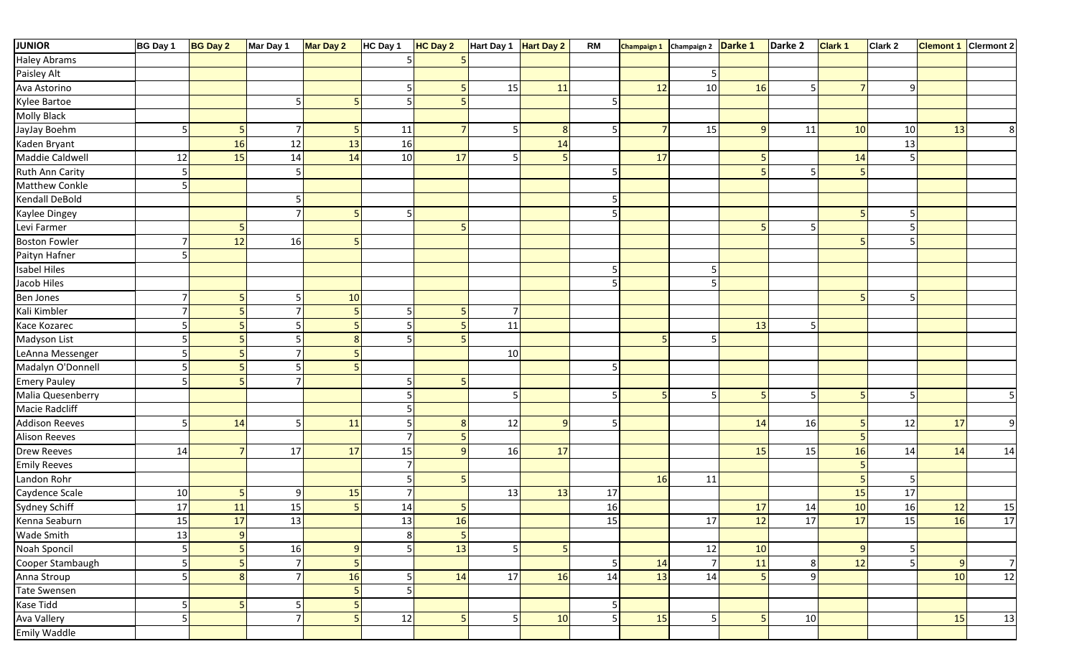| <b>JUNIOR</b>         | <b>BG Day 1</b>         | <b>BG Day 2</b> | Mar Day 1      | Mar Day 2      | HC Day 1       | <b>HC Day 2</b> | Hart Day 1     | <b>Hart Day 2</b> | <b>RM</b> | <b>Champaign 1</b> | Champaign 2 Darke 1 |                | Darke 2        | <b>Clark 1</b> | Clark 2 | <b>Clemont 1</b> Clermont 2 |                |
|-----------------------|-------------------------|-----------------|----------------|----------------|----------------|-----------------|----------------|-------------------|-----------|--------------------|---------------------|----------------|----------------|----------------|---------|-----------------------------|----------------|
| <b>Haley Abrams</b>   |                         |                 |                |                |                |                 |                |                   |           |                    |                     |                |                |                |         |                             |                |
| Paisley Alt           |                         |                 |                |                |                |                 |                |                   |           |                    | 5                   |                |                |                |         |                             |                |
| Ava Astorino          |                         |                 |                |                |                |                 | 15             | 11                |           | 12                 | 10                  | 16             | 5              |                |         |                             |                |
| Kylee Bartoe          |                         |                 | .5             |                |                |                 |                |                   |           |                    |                     |                |                |                |         |                             |                |
| Molly Black           |                         |                 |                |                |                |                 |                |                   |           |                    |                     |                |                |                |         |                             |                |
| JayJay Boehm          | 5                       |                 | $\overline{7}$ | 5              | 11             |                 | 5              | 8                 |           |                    | 15                  | q              | 11             | 10             | 10      | 13                          | 8              |
| Kaden Bryant          |                         | 16              | 12             | 13             | 16             |                 |                | 14                |           |                    |                     |                |                |                | 13      |                             |                |
| Maddie Caldwell       | 12                      | 15              | 14             | 14             | 10             | 17              |                |                   |           | 17                 |                     |                |                | 14             |         |                             |                |
| Ruth Ann Carity       | 5                       |                 |                |                |                |                 |                |                   | -5        |                    |                     | $\overline{a}$ | 5              |                |         |                             |                |
| Matthew Conkle        | .5                      |                 |                |                |                |                 |                |                   |           |                    |                     |                |                |                |         |                             |                |
| Kendall DeBold        |                         |                 | 5              |                |                |                 |                |                   | 5         |                    |                     |                |                |                |         |                             |                |
| Kaylee Dingey         |                         |                 | $\overline{7}$ | 5              |                |                 |                |                   | 5         |                    |                     |                |                |                |         |                             |                |
| Levi Farmer           |                         |                 |                |                |                |                 |                |                   |           |                    |                     | F              | 5              |                |         |                             |                |
| <b>Boston Fowler</b>  |                         | 12              | 16             |                |                |                 |                |                   |           |                    |                     |                |                |                |         |                             |                |
| Paityn Hafner         | 5                       |                 |                |                |                |                 |                |                   |           |                    |                     |                |                |                |         |                             |                |
| <b>Isabel Hiles</b>   |                         |                 |                |                |                |                 |                |                   | -5        |                    | 5                   |                |                |                |         |                             |                |
| Jacob Hiles           |                         |                 |                |                |                |                 |                |                   |           |                    | 5                   |                |                |                |         |                             |                |
| Ben Jones             | $\overline{7}$          |                 |                | 10             |                |                 |                |                   |           |                    |                     |                |                | 5              |         |                             |                |
| Kali Kimbler          | $\overline{7}$          |                 |                | 5              |                |                 | 7              |                   |           |                    |                     |                |                |                |         |                             |                |
| Kace Kozarec          | $\overline{5}$          |                 |                |                |                |                 | 11             |                   |           |                    |                     | 13             | 5              |                |         |                             |                |
| Madyson List          | 5                       |                 |                | 8              |                |                 |                |                   |           |                    | 5                   |                |                |                |         |                             |                |
| LeAnna Messenger      | 5                       |                 |                | 5              |                |                 | 10             |                   |           |                    |                     |                |                |                |         |                             |                |
| Madalyn O'Donnell     | $\overline{5}$          |                 |                | 5              |                |                 |                |                   | 5         |                    |                     |                |                |                |         |                             |                |
| <b>Emery Pauley</b>   | 5                       |                 |                |                |                |                 |                |                   |           |                    |                     |                |                |                |         |                             |                |
| Malia Quesenberry     |                         |                 |                |                |                |                 | 5              |                   |           |                    | 5                   | 5              | 5              |                |         |                             |                |
| Macie Radcliff        |                         |                 |                |                |                |                 |                |                   |           |                    |                     |                |                |                |         |                             |                |
| <b>Addison Reeves</b> | 5                       | 14              | .5             | 11             |                |                 | 12             | $\mathbf{q}$      | 5         |                    |                     | 14             | 16             |                | 12      | 17                          | q              |
| <b>Alison Reeves</b>  |                         |                 |                |                |                |                 |                |                   |           |                    |                     |                |                |                |         |                             |                |
| <b>Drew Reeves</b>    | 14                      |                 | 17             | 17             | 15             |                 | 16             | 17                |           |                    |                     | 15             | 15             | 16             | 14      | 14                          | 14             |
| <b>Emily Reeves</b>   |                         |                 |                |                | $\overline{7}$ |                 |                |                   |           |                    |                     |                |                |                |         |                             |                |
| Landon Rohr           |                         |                 |                |                |                |                 |                |                   |           | 16                 | 11                  |                |                |                |         |                             |                |
| Caydence Scale        | 10                      |                 | 9              | 15             |                |                 | 13             | 13                | 17        |                    |                     |                |                | 15             | 17      |                             |                |
| Sydney Schiff         | 17                      | 11              | 15             | 5 <sub>1</sub> | 14             |                 |                |                   | 16        |                    |                     | 17             | 14             | 10             | 16      | 12                          | 15             |
| Kenna Seaburn         | 15                      | 17              | 13             |                | 13             | <b>16</b>       |                |                   | 15        |                    | 17                  | 12             | 17             | 17             | 15      | <b>16</b>                   | 17             |
| Wade Smith            | 13                      |                 |                |                | 8 <sup>1</sup> | $\overline{5}$  |                |                   |           |                    |                     |                |                |                |         |                             |                |
| Noah Sponcil          | 5 <sup>1</sup>          |                 | 16             | 9 <sub>l</sub> |                | 13              | 5 <sup>1</sup> | 5 <sub>l</sub>    |           |                    | 12                  | 10             |                | 9              |         |                             |                |
| Cooper Stambaugh      | $\overline{\mathbf{5}}$ |                 | $\overline{7}$ | 5              |                |                 |                |                   | 5         | 14                 | 7 <sup>1</sup>      | 11             | 8 <sup>1</sup> | 12             |         | 9                           | $\overline{7}$ |
| Anna Stroup           | $\overline{5}$          |                 | 7              | 16             |                | 14              | 17             | 16                | 14        | 13                 | 14                  | 5              | 9              |                |         | 10                          | 12             |
| Tate Swensen          |                         |                 |                | 5 <sub>l</sub> |                |                 |                |                   |           |                    |                     |                |                |                |         |                             |                |
| Kase Tidd             | 5                       |                 | 5 <sub>l</sub> | 5              |                |                 |                |                   | 5         |                    |                     |                |                |                |         |                             |                |
| Ava Vallery           | $\overline{5}$          |                 | $\overline{7}$ | 5 <sub>l</sub> | 12             | ц               | 5              | 10                | 5         | 15                 | 5 <sub>l</sub>      | 5              | 10             |                |         | 15                          | 13             |
| Emily Waddle          |                         |                 |                |                |                |                 |                |                   |           |                    |                     |                |                |                |         |                             |                |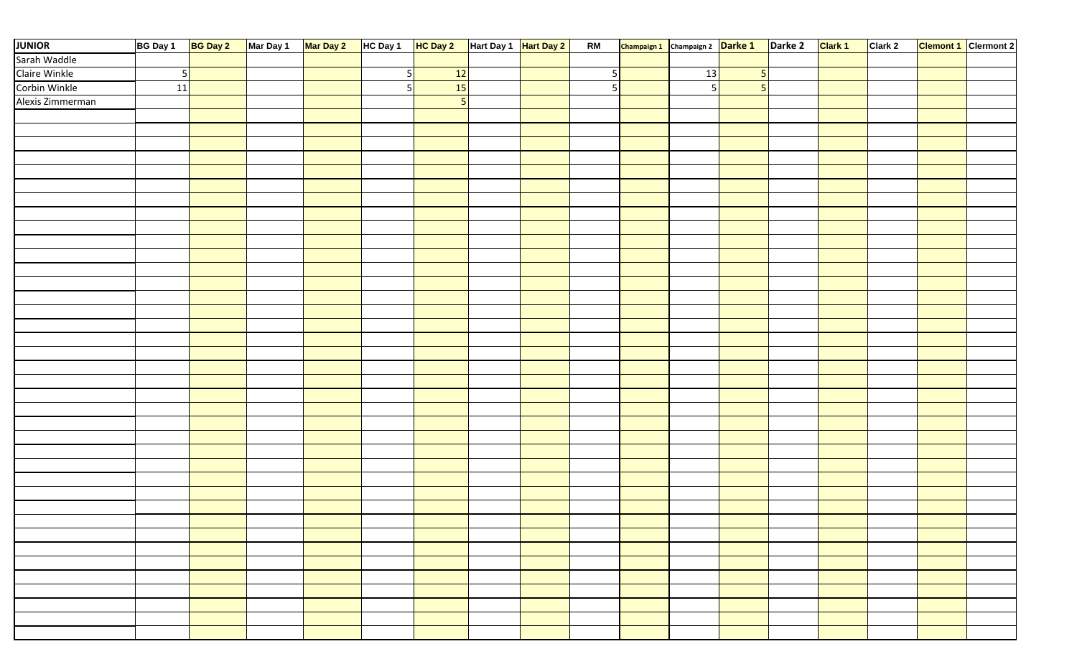| <b>JUNIOR</b>    | BG Day 1        | BG Day 2 Mar Day 1 Mar Day 2 |  | HC Day 1 HC Day 2 |           | Hart Day 1 Hart Day 2 | <b>RM</b> | Champaign 1 Champaign 2 Darke 1 Darke 2 |    |                | Clark 1 | Clark 2 | <b>Clemont 1</b> Clermont 2 |
|------------------|-----------------|------------------------------|--|-------------------|-----------|-----------------------|-----------|-----------------------------------------|----|----------------|---------|---------|-----------------------------|
| Sarah Waddle     |                 |                              |  |                   |           |                       |           |                                         |    |                |         |         |                             |
| Claire Winkle    | $5\phantom{.0}$ |                              |  | 51                | 12        |                       | 5         |                                         | 13 | 5              |         |         |                             |
| Corbin Winkle    | 11              |                              |  | 5 <sub>l</sub>    | <b>15</b> |                       | 5         |                                         | 5  | $\overline{5}$ |         |         |                             |
| Alexis Zimmerman |                 |                              |  |                   | 5         |                       |           |                                         |    |                |         |         |                             |
|                  |                 |                              |  |                   |           |                       |           |                                         |    |                |         |         |                             |
|                  |                 |                              |  |                   |           |                       |           |                                         |    |                |         |         |                             |
|                  |                 |                              |  |                   |           |                       |           |                                         |    |                |         |         |                             |
|                  |                 |                              |  |                   |           |                       |           |                                         |    |                |         |         |                             |
|                  |                 |                              |  |                   |           |                       |           |                                         |    |                |         |         |                             |
|                  |                 |                              |  |                   |           |                       |           |                                         |    |                |         |         |                             |
|                  |                 |                              |  |                   |           |                       |           |                                         |    |                |         |         |                             |
|                  |                 |                              |  |                   |           |                       |           |                                         |    |                |         |         |                             |
|                  |                 |                              |  |                   |           |                       |           |                                         |    |                |         |         |                             |
|                  |                 |                              |  |                   |           |                       |           |                                         |    |                |         |         |                             |
|                  |                 |                              |  |                   |           |                       |           |                                         |    |                |         |         |                             |
|                  |                 |                              |  |                   |           |                       |           |                                         |    |                |         |         |                             |
|                  |                 |                              |  |                   |           |                       |           |                                         |    |                |         |         |                             |
|                  |                 |                              |  |                   |           |                       |           |                                         |    |                |         |         |                             |
|                  |                 |                              |  |                   |           |                       |           |                                         |    |                |         |         |                             |
|                  |                 |                              |  |                   |           |                       |           |                                         |    |                |         |         |                             |
|                  |                 |                              |  |                   |           |                       |           |                                         |    |                |         |         |                             |
|                  |                 |                              |  |                   |           |                       |           |                                         |    |                |         |         |                             |
|                  |                 |                              |  |                   |           |                       |           |                                         |    |                |         |         |                             |
|                  |                 |                              |  |                   |           |                       |           |                                         |    |                |         |         |                             |
|                  |                 |                              |  |                   |           |                       |           |                                         |    |                |         |         |                             |
|                  |                 |                              |  |                   |           |                       |           |                                         |    |                |         |         |                             |
|                  |                 |                              |  |                   |           |                       |           |                                         |    |                |         |         |                             |
|                  |                 |                              |  |                   |           |                       |           |                                         |    |                |         |         |                             |
|                  |                 |                              |  |                   |           |                       |           |                                         |    |                |         |         |                             |
|                  |                 |                              |  |                   |           |                       |           |                                         |    |                |         |         |                             |
|                  |                 |                              |  |                   |           |                       |           |                                         |    |                |         |         |                             |
|                  |                 |                              |  |                   |           |                       |           |                                         |    |                |         |         |                             |
|                  |                 |                              |  |                   |           |                       |           |                                         |    |                |         |         |                             |
|                  |                 |                              |  |                   |           |                       |           |                                         |    |                |         |         |                             |
|                  |                 |                              |  |                   |           |                       |           |                                         |    |                |         |         |                             |
|                  |                 |                              |  |                   |           |                       |           |                                         |    |                |         |         |                             |
|                  |                 |                              |  |                   |           |                       |           |                                         |    |                |         |         |                             |
|                  |                 |                              |  |                   |           |                       |           |                                         |    |                |         |         |                             |
|                  |                 |                              |  |                   |           |                       |           |                                         |    |                |         |         |                             |
|                  |                 |                              |  |                   |           |                       |           |                                         |    |                |         |         |                             |
|                  |                 |                              |  |                   |           |                       |           |                                         |    |                |         |         |                             |
|                  |                 |                              |  |                   |           |                       |           |                                         |    |                |         |         |                             |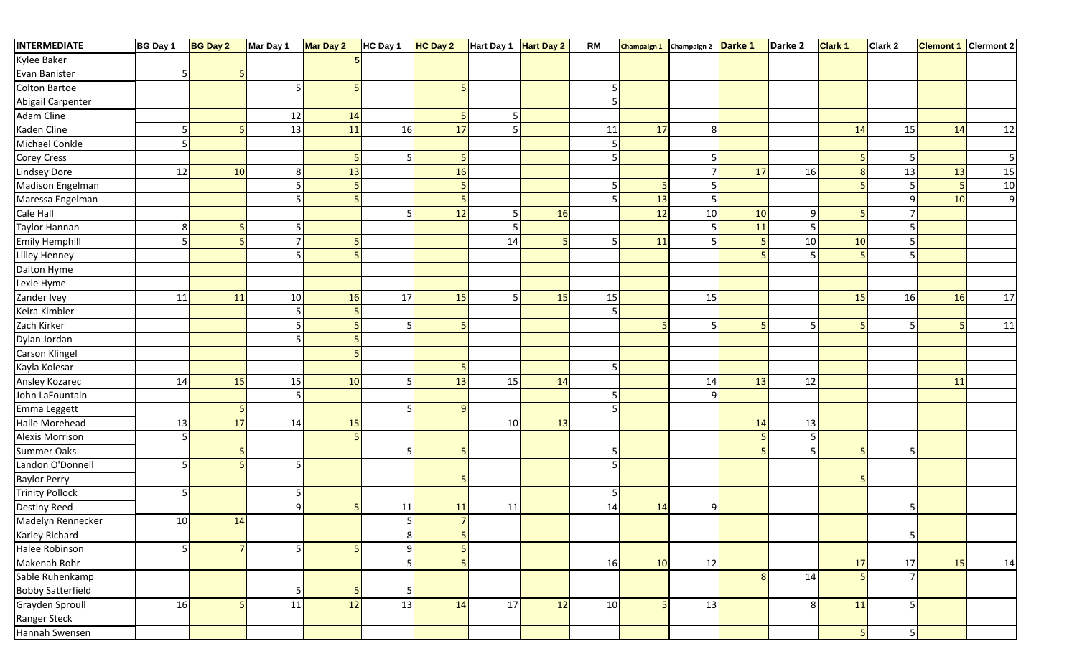| <b>INTERMEDIATE</b>      | BG Day 1       | <b>BG Day 2</b> | Mar Day 1      | Mar Day 2 | HC Day 1       | HC Day 2       | Hart Day 1 Hart Day 2 |    | <b>RM</b>      | Champaign 1 Champaign 2 Darke 1 |                |    | Darke 2        | <b>Clark 1</b> | Clark 2 | <b>Clemont 1</b> | Clermont 2     |
|--------------------------|----------------|-----------------|----------------|-----------|----------------|----------------|-----------------------|----|----------------|---------------------------------|----------------|----|----------------|----------------|---------|------------------|----------------|
| Kylee Baker              |                |                 |                |           |                |                |                       |    |                |                                 |                |    |                |                |         |                  |                |
| Evan Banister            | 5              |                 |                |           |                |                |                       |    |                |                                 |                |    |                |                |         |                  |                |
| Colton Bartoe            |                |                 |                |           |                |                |                       |    |                |                                 |                |    |                |                |         |                  |                |
| Abigail Carpenter        |                |                 |                |           |                |                |                       |    | 5              |                                 |                |    |                |                |         |                  |                |
| Adam Cline               |                |                 | 12             | 14        |                |                | 5                     |    |                |                                 |                |    |                |                |         |                  |                |
| Kaden Cline              | 5              |                 | 13             | 11        | 16             | 17             | 5                     |    | $11\,$         | 17                              | 8 <sup>1</sup> |    |                | 14             | 15      | 14               | 12             |
| Michael Conkle           | 5              |                 |                |           |                |                |                       |    | .5             |                                 |                |    |                |                |         |                  |                |
| Corey Cress              |                |                 |                | 5         | 5 <sub>l</sub> |                |                       |    | 5              |                                 | 5              |    |                |                |         |                  |                |
| <b>Lindsey Dore</b>      | 12             | 10              | 8              | 13        |                | 16             |                       |    |                |                                 |                | 17 | 16             |                | 13      | 13               | 15             |
| Madison Engelman         |                |                 |                |           |                |                |                       |    |                |                                 |                |    |                |                |         | 5                | $10\,$         |
| Maressa Engelman         |                |                 |                |           |                |                |                       |    | $\overline{5}$ | 13                              | 5              |    |                |                |         | 10               | $\overline{9}$ |
| Cale Hall                |                |                 |                |           |                | 12             | 5                     | 16 |                | 12                              | 10             | 10 | 9              |                |         |                  |                |
| Taylor Hannan            | 8              |                 |                |           |                |                | 5                     |    |                |                                 |                | 11 |                |                |         |                  |                |
| <b>Emily Hemphill</b>    | 5              |                 | 7              |           |                |                | 14                    |    |                | 11                              | 5              |    | 10             | 10             |         |                  |                |
| Lilley Henney            |                |                 |                |           |                |                |                       |    |                |                                 |                |    |                |                |         |                  |                |
| Dalton Hyme              |                |                 |                |           |                |                |                       |    |                |                                 |                |    |                |                |         |                  |                |
| Lexie Hyme               |                |                 |                |           |                |                |                       |    |                |                                 |                |    |                |                |         |                  |                |
| Zander Ivey              | 11             | 11              | 10             | 16        | 17             | 15             | .5                    | 15 | 15             |                                 | 15             |    |                | 15             | 16      | 16               | 17             |
| Keira Kimbler            |                |                 |                |           |                |                |                       |    | 5              |                                 |                |    |                |                |         |                  |                |
| Zach Kirker              |                |                 |                |           |                |                |                       |    |                |                                 | 5              | 5  |                |                |         | 5                | 11             |
| Dylan Jordan             |                |                 |                |           |                |                |                       |    |                |                                 |                |    |                |                |         |                  |                |
| Carson Klingel           |                |                 |                |           |                |                |                       |    |                |                                 |                |    |                |                |         |                  |                |
| Kayla Kolesar            |                |                 |                |           |                |                |                       |    |                |                                 |                |    |                |                |         |                  |                |
| Ansley Kozarec           | 14             | 15              | 15             | 10        |                | 13             | 15                    | 14 |                |                                 | 14             | 13 | 12             |                |         | 11               |                |
| John LaFountain          |                |                 |                |           |                |                |                       |    |                |                                 | $\overline{9}$ |    |                |                |         |                  |                |
| Emma Leggett             |                |                 |                |           |                |                |                       |    |                |                                 |                |    |                |                |         |                  |                |
| Halle Morehead           | 13             | 17              | 14             | 15        |                |                | 10                    | 13 |                |                                 |                | 14 | 13             |                |         |                  |                |
| Alexis Morrison          | 5              |                 |                |           |                |                |                       |    |                |                                 |                |    |                |                |         |                  |                |
| <b>Summer Oaks</b>       |                |                 |                |           |                |                |                       |    | .5             |                                 |                |    |                |                |         |                  |                |
| Landon O'Donnell         | 5              |                 | 5              |           |                |                |                       |    |                |                                 |                |    |                |                |         |                  |                |
| <b>Baylor Perry</b>      |                |                 |                |           |                |                |                       |    |                |                                 |                |    |                |                |         |                  |                |
| <b>Trinity Pollock</b>   | .5             |                 |                |           |                |                |                       |    |                |                                 |                |    |                |                |         |                  |                |
| Destiny Reed             |                |                 | q              |           | 11             | 11             | 11                    |    | 14             | 14                              | 9              |    |                |                |         |                  |                |
| Madelyn Rennecker        | 10             | 14              |                |           | 5              | 7 <sup>1</sup> |                       |    |                |                                 |                |    |                |                |         |                  |                |
| Karley Richard           |                |                 |                |           | 8 <sup>l</sup> |                |                       |    |                |                                 |                |    |                |                | 5       |                  |                |
| Halee Robinson           | $\overline{5}$ |                 | 5 <sub>l</sub> | 5         | 9              |                |                       |    |                |                                 |                |    |                |                |         |                  |                |
| Makenah Rohr             |                |                 |                |           |                |                |                       |    | 16             | 10                              | 12             |    |                | 17             | 17      | 15               | 14             |
| Sable Ruhenkamp          |                |                 |                |           |                |                |                       |    |                |                                 |                | 8  | 14             |                |         |                  |                |
| <b>Bobby Satterfield</b> |                |                 | 5              | 5         | 5 <sub>l</sub> |                |                       |    |                |                                 |                |    |                |                |         |                  |                |
| Grayden Sproull          | 16             |                 | 11             | 12        | 13             | 14             | 17                    | 12 | 10             |                                 | 13             |    | 8 <sup>1</sup> | 11             |         |                  |                |
| Ranger Steck             |                |                 |                |           |                |                |                       |    |                |                                 |                |    |                |                |         |                  |                |
| Hannah Swensen           |                |                 |                |           |                |                |                       |    |                |                                 |                |    |                |                | 5       |                  |                |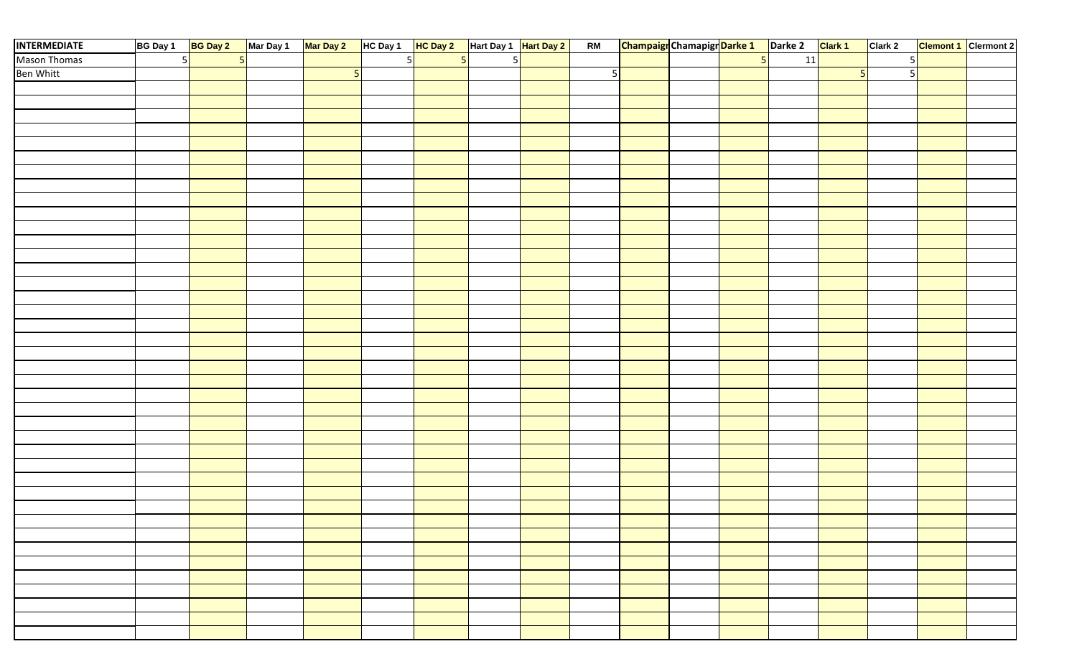| <b>INTERMEDIATE</b> | BG Day 1 | <b>BG Day 2</b> | Mar Day 1 Mar Day 2 |                | HC Day 1 HC Day 2 |                | Hart Day 1 Hart Day 2 | RM | <b>Champaigr</b> Chamapigr Darke 1 Darke 2 Clark 1 |                |    |   | Clark 2 | <b>Clemont 1</b> Clermont 2 |
|---------------------|----------|-----------------|---------------------|----------------|-------------------|----------------|-----------------------|----|----------------------------------------------------|----------------|----|---|---------|-----------------------------|
| Mason Thomas        | 5        |                 |                     |                | 5I                | 5 <sup>1</sup> | $\overline{5}$        |    |                                                    | $\overline{5}$ | 11 |   |         |                             |
| <b>Ben Whitt</b>    |          |                 |                     | 5 <sub>l</sub> |                   |                |                       | 5  |                                                    |                |    | 卡 |         |                             |
|                     |          |                 |                     |                |                   |                |                       |    |                                                    |                |    |   |         |                             |
|                     |          |                 |                     |                |                   |                |                       |    |                                                    |                |    |   |         |                             |
|                     |          |                 |                     |                |                   |                |                       |    |                                                    |                |    |   |         |                             |
|                     |          |                 |                     |                |                   |                |                       |    |                                                    |                |    |   |         |                             |
|                     |          |                 |                     |                |                   |                |                       |    |                                                    |                |    |   |         |                             |
|                     |          |                 |                     |                |                   |                |                       |    |                                                    |                |    |   |         |                             |
|                     |          |                 |                     |                |                   |                |                       |    |                                                    |                |    |   |         |                             |
|                     |          |                 |                     |                |                   |                |                       |    |                                                    |                |    |   |         |                             |
|                     |          |                 |                     |                |                   |                |                       |    |                                                    |                |    |   |         |                             |
|                     |          |                 |                     |                |                   |                |                       |    |                                                    |                |    |   |         |                             |
|                     |          |                 |                     |                |                   |                |                       |    |                                                    |                |    |   |         |                             |
|                     |          |                 |                     |                |                   |                |                       |    |                                                    |                |    |   |         |                             |
|                     |          |                 |                     |                |                   |                |                       |    |                                                    |                |    |   |         |                             |
|                     |          |                 |                     |                |                   |                |                       |    |                                                    |                |    |   |         |                             |
|                     |          |                 |                     |                |                   |                |                       |    |                                                    |                |    |   |         |                             |
|                     |          |                 |                     |                |                   |                |                       |    |                                                    |                |    |   |         |                             |
|                     |          |                 |                     |                |                   |                |                       |    |                                                    |                |    |   |         |                             |
|                     |          |                 |                     |                |                   |                |                       |    |                                                    |                |    |   |         |                             |
|                     |          |                 |                     |                |                   |                |                       |    |                                                    |                |    |   |         |                             |
|                     |          |                 |                     |                |                   |                |                       |    |                                                    |                |    |   |         |                             |
|                     |          |                 |                     |                |                   |                |                       |    |                                                    |                |    |   |         |                             |
|                     |          |                 |                     |                |                   |                |                       |    |                                                    |                |    |   |         |                             |
|                     |          |                 |                     |                |                   |                |                       |    |                                                    |                |    |   |         |                             |
|                     |          |                 |                     |                |                   |                |                       |    |                                                    |                |    |   |         |                             |
|                     |          |                 |                     |                |                   |                |                       |    |                                                    |                |    |   |         |                             |
|                     |          |                 |                     |                |                   |                |                       |    |                                                    |                |    |   |         |                             |
|                     |          |                 |                     |                |                   |                |                       |    |                                                    |                |    |   |         |                             |
|                     |          |                 |                     |                |                   |                |                       |    |                                                    |                |    |   |         |                             |
|                     |          |                 |                     |                |                   |                |                       |    |                                                    |                |    |   |         |                             |
|                     |          |                 |                     |                |                   |                |                       |    |                                                    |                |    |   |         |                             |
|                     |          |                 |                     |                |                   |                |                       |    |                                                    |                |    |   |         |                             |
|                     |          |                 |                     |                |                   |                |                       |    |                                                    |                |    |   |         |                             |
|                     |          |                 |                     |                |                   |                |                       |    |                                                    |                |    |   |         |                             |
|                     |          |                 |                     |                |                   |                |                       |    |                                                    |                |    |   |         |                             |
|                     |          |                 |                     |                |                   |                |                       |    |                                                    |                |    |   |         |                             |
|                     |          |                 |                     |                |                   |                |                       |    |                                                    |                |    |   |         |                             |
|                     |          |                 |                     |                |                   |                |                       |    |                                                    |                |    |   |         |                             |
|                     |          |                 |                     |                |                   |                |                       |    |                                                    |                |    |   |         |                             |
|                     |          |                 |                     |                |                   |                |                       |    |                                                    |                |    |   |         |                             |
|                     |          |                 |                     |                |                   |                |                       |    |                                                    |                |    |   |         |                             |